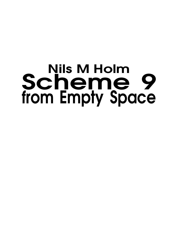# **Nils M Holm** Scheme 9 **from Empty Space**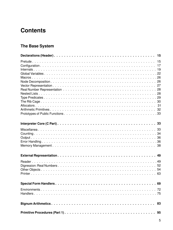# **Contents**

# The Base System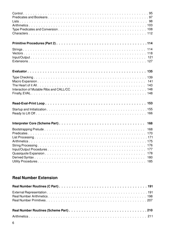| 168<br>177<br>178<br>180<br>185 |
|---------------------------------|

## **Real Number Extension**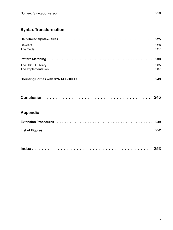|--|--|

# **Syntax Transformation**

|--|--|--|--|--|--|--|--|--|--|--|--|--|--|--|--|--|--|--|--|--|--|--|--|--|--|--|--|--|--|--|--|--|--|--|--|--|--|--|--|--|

## **Appendix**

|--|--|--|--|--|--|--|--|--|--|--|--|--|--|--|--|--|--|--|--|--|--|--|--|--|--|--|--|--|--|--|--|--|--|--|--|--|--|--|--|--|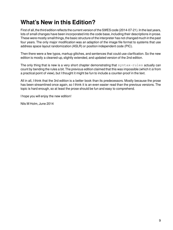# **What's New in this Edition?**

First of all, the third edition reflects the current version of the S9fES code (2014-07-21). In the last years, lots of small changes have been incorporated into the code base, including their descriptions in prose. These were mostly small things,the basic structure of the interpreter has not changed much in the past four years. The only major modification was an adaption of the image file format to systems that use address space layout randomization (ASLR) or position independent code (PIC).

Then there were a few typos, markup glitches, and sentences that could use clarification. So the new edition is mostly a cleaned-up, slightly extended, and updated version of the 2nd edition.

The only thing that is new is a very short chapter demonstrating that  $syntax-rules$  actually can count by bending the rules a bit. The previous edition claimed that this was impossible (which it is from a practical point of view), but I thought it might be fun to include a counter-proof in the text.

All in all, I think that the 3rd edition is a better book than its predecessors. Mostly because the prose has been streamlined once again, so I think it is an even easier read than the previous versions. The topic is hard enough, so at least the prose should be fun and easy to comprehend.

I hope you will enjoy the new edition!

Nils M Holm, June 2014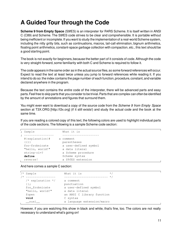# **A Guided Tour through the Code**

**Scheme 9 from Empty Space** (S9fES) is an interpreter for R4RS Scheme. It is itself written in ANSI C (C89) and Scheme. The S9fES code strives to be clear and comprehensible. It is portable without being inefficient or incomplete. If you want to study the implementation of a real-world Scheme system, including the nitty gritty bits, such as continuations, macros, tail-call elimination, bignum arithmetics, floating point arithmetics, constant-space garbage collection with compaction, etc., this text should be a good starting point.

The book is not exactly for beginners, because the better part of it consists of code. Although the code is very straight-forward, some familiarity with both C and Scheme is required to follow it.

The code appears in the same order as in the actual source files, so some forward references will occur. Expect to read the text at least twice unless you jump to forward references while reading it. If you intend to do so: the index contains the page number of each function, procedure, constant, and variable declared anywhere in the program.

Because the text contains the *entire* code of the interpreter, there will be advanced parts and easy parts.Feel free to skip parts that you consider to be trivial.Parts that are complex can often be identified by the amount of annotations and figures that surround them.

You might even want to download a copy of the source code from the Scheme 9 from Empty Space section at T3X.ORG [http://t3x.org] (if it still exists!) and study the actual code and the book at the same time.

If you are reading a colored copy of this text, the following colors are used to highlight individual parts of the code sections. The following is a sample Scheme code section:

| ; Sample            | What it is            |
|---------------------|-----------------------|
|                     |                       |
| $\#$  explanation # | a comment             |
| (() )               | parentheses           |
| foo-frobnicate      | a user-defined symbol |
| "hello, world!"     | a data literal        |
| $string-ci=?$       | a Scheme procedure    |
| define              | Scheme syntax         |
| reverse!            | a S9fES extension     |

And here comes a sample C section:

```
\frac{1}{x} Sample What it is \frac{x}{1+x}/* ----------------- ------------------------- */
  /* explanation */ a comment
  {}; punctuation
  foo_frobnicate a user-defined symbol
  "hello, world!" a data literal
  fopen an ANSI C library function
 void C syntax
  __nuxi__ a language extension/macro
```
However, if you are watching this show in black and white, that's fine, too. The colors are not really necessary to understand what's going on!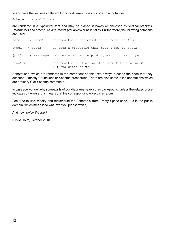In any case the text uses different fonts for different types of code. In annotations,

Scheme code and C code

are rendered in a typewriter font and may be placed in boxes or enclosed by vertical brackets. Parameters and procedure arguments (variables) print in italics. Furthermore, the following notations are used

|                        | ("f evaluates to $v$ ")                                              |
|------------------------|----------------------------------------------------------------------|
| $f \implies v$         | denotes the evaluation of a form $f$ to a value $v$                  |
|                        | (p t1 ) --> type denotes a procedure <b>p</b> of types $t1$ --> type |
| type1 --> type2        | denotes a procedure that maps type1 to type2                         |
| form $1$ ---> form $2$ | denotes the transformation of form1 to form2                         |

Annotations (which are rendered in the same font as this text) always precede the code that they describe -- mostly C functions or Scheme procedures. There are also some inline annotations which are ordinary C or Scheme comments.

In case you wonder why some parts of box diagrams have a gray background:unless the related prose indicates otherwise, this means that the corresponding object is an atom.

Feel free to use, modify and redistribute the Scheme 9 from Empty Space code, it is in the public domain (which means: do whatever you please with it).

And now: enjoy the tour!

Nils M Holm, October 2010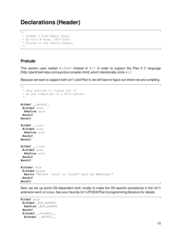# **Declarations (Header)**

```
\sqrt{1 + \frac{1}{2}}* Scheme 9 from Empty Space
 * By Nils M Holm, 2007-2014
 * Placed in the Public Domain
 */
```
#### **Prelude**

This section uses nested  $\#ifdef$  instead of  $\#if$  in order to support the Plan 9 C language [http://plan9.bell-labs.com/sys/doc/compiler.html], which intentionally omits  $\#\text{if.}$ 

Because we want to support both Un\*x and Plan 9, we will have to figure out where we are compiling.

```
\sqrt{2}* Ugly prelude to figure out if
 * we are compiling on a Un*x system.
 */
#ifdef __NetBSD__
 #ifndef unix
  #define unix
 #endif
#endif
#ifdef __unix
 #ifndef unix
  #define unix
 #endif
#endif
#ifdef __linux
 #ifndef unix
  #define unix
 #endif
#endif
#ifndef unix
 #ifndef plan9
  #error "Either 'unix' or 'plan9' must be #defined."
 #endif
#endif
```
Next, we set up some OS-dependent stuff, mostly to make the OS-specific procedures in the Un\*x extension work on Linux. See your favorite Un\*x/POSIX/Plan 9 programming literature for details.

```
#ifdef unix
 #ifndef _BSD_SOURCE
 #define _BSD_SOURCE
 #endif
 #ifndef __FreeBSD__
  #ifndef __NetBSD__
```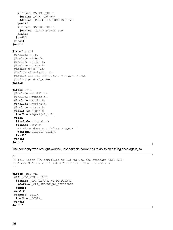```
#ifndef _POSIX_SOURCE
    #define _POSIX_SOURCE
    #define _POSIX_C_SOURCE 200112L
   #endif
   #ifndef _XOPEN_SOURCE
    #define _XOPEN_SOURCE 500
   #endif
  #endif
 #endif
#endif
#ifdef plan9
 #include <u.h>
 #include <libc.h>
 #include <stdio.h>
 #include <ctype.h>
 #define NO_SIGNALS
 #define signal(sig, fn)
 #define exit(x) exits((x)? "error": NULL)
 #define ptrdiff_t int
#endif
#ifdef unix
 #include <stdlib.h>
 #include <stddef.h>
 #include <stdio.h>
 #include <string.h>
 #include <ctype.h>
 #ifdef NO_SIGNALS
  #define signal(sig, fn)
 #else
  #include <signal.h>
  #ifndef SIGQUIT
   /* MinGW does not define SIGQUIT */
   #define SIGQUIT SIGINT
  #endif
 #endif
#endif
```
The company who brought you the unspeakable horror has to do its own thing once again, so

```
\sqrt{1 + \frac{1}{2}}* Tell later MSC compilers to let us use the standard CLIB API.
 * Blake McBride < b l a k e @ m c b r i d e . n a m e >
 */
#ifdef _MSC_VER
 #if _MSC_VER > 1200
  #ifndef _CRT_SECURE_NO_DEPRECATE
   #define _CRT_SECURE_NO_DEPRECATE
  #endif
 #endif
 #ifndef _POSIX_
  #define _POSIX_
 #endif
#endif
```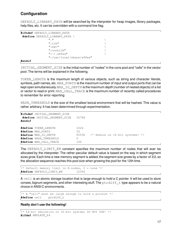#### **Configuration**

DEFAULT\_LIBRARY\_PATH will be searched by the interpreter for heap images, library packages, help files, etc. It can be overridden with a command line flag.

```
#ifndef DEFAULT_LIBRARY_PATH
 #define DEFAULT_LIBRARY_PATH \
                 \mathbb{R}. The contract of \mathbb{R} is the contract of \mathbb{R}"':lib" \qquad \qquad \setminus":=ext" \setminus":contrib" \
                 ":~/.s9fes"
                 ":/usr/local/share/s9fes"
```
**#endif**

INITIAL\_SEGMENT\_SIZE is the initial number of "nodes" in the cons pool and "cells" in the vector pool. The terms will be explained in the following.

TOKEN\_LENGTH is the maximum length of various objects, such as string and character literals, symbols, path names, etc. MAX\_PORTS is the maximum number of input and output ports that can be kept open simultaneously. MAX\_IO\_DEPTH is the maximum depth (number of nested objects) of a list or vector to read or print. MAX\_CALL\_TRACE is the maximum number of recently called procedures to remember for error reporting.

HASH\_THRESHOLD is the size of the smallest lexical environment that will be hashed. This value is rather arbitrary. It has been determined through experimentation.

```
#ifndef INITIAL_SEGMENT_SIZE
#define INITIAL_SEGMENT_SIZE 32768
#endif
#define TOKEN_LENGTH 1024
#define MAX_PORTS 32
#define MAX_IO_DEPTH 65536 /* Reduce on 16-bit systems! */
#define HASH_THRESHOLD 5
#define MAX_CALL_TRACE 100
```
The DEFAULT\_LIMIT\_KN constant specifies the maximum number of nodes that will ever be allocated by the interpreter. The rather peculiar default value is based on the way in which segment sizes grow. Each time a new memory segment is added, the segment size grows by a factor of 3/2, so the allocation sequence reaches this pool size when growing the pool for the 12th time.

```
\frac{1}{x} Default memory limit in K-nodes, 0 = none */
#define DEFAULT_LIMIT_KN 12392
```
A cell is an atomic storage location that is large enough to hold a C pointer. It will be used to store conses, bignum segments, and other interesting stuff. The  $ptrdiff_t$  type appears to be a natural choice in ANSI C environments.

```
\frac{1}{x} A "cell" must be large enough to hold a pointer \frac{x}{x}#define cell ptrdiff_t
```
#### **Really don't use the following!**

```
/* 64-bit emulation on 32-bit system; DO NOT USE! */
#ifdef EMULATE_64
```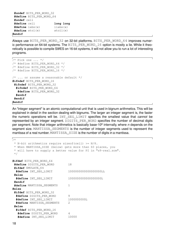```
#undef BITS_PER_WORD_32
#define BITS_PER_WORD_64
#undef cell
#define cell long long
#define labs(x) llabs(x)
#define atol(x) atoll(x)
#endif
```
Always use BITS\_PER\_WORD\_32 on 32-bit platforms. BITS\_PER\_WORD\_64 improves numeric performance on 64-bit systems. The BITS\_PER\_WORD\_16 option is mostly a lie. While it theoretically is possible to compile S9fES on 16-bit systems, it will not allow you to run a lot of interesting programs.

```
\sqrt{\ast} Pick one ... \ast/
/* #define BITS PER WORD 64 */
/* #define BITS PER WORD 32 */
/* #define BITS PER WORD 16 */\frac{1}{2}... or assume a reasonable default */
#ifndef BITS_PER_WORD_16
 #ifndef BITS_PER_WORD_32
  #ifndef BITS_PER_WORD_64
   #define BITS_PER_WORD_32
  #endif
 #endif
#endif
```
An "integer segment" is an atomic computational unit that is used in bignum arithmetics. This will be explained in detail in the section dealing with bignums. The larger an integer segment is, the faster the numeric operations will be. INT SEG LIMIT specifies the smallest value that *cannot* be represented by an integer segment. DIGITS\_PER\_WORD specifies the number of decimal digits per segment. Note that integer arithmetics is basically base-10<sup>n</sup> internally, where *n* depends on the segment size. MANTISSA\_SEGMENTS is the number of integer segments used to represent the mantissa of a real number. MANTISSA\_SIZE is the number of digits in a mantissa.

```
\sqrt{1}* N-bit arithmetics require sizeof(cell) >= N/8.
 * When MANTISSA_SIZE (below) gets more than 60 places, you
 * will have to supply a better value for PI in "s9-real.scm".
 */
#ifdef BITS_PER_WORD_64
 #define DIGITS_PER_WORD 18
 #ifdef EMULATE_64
 #define INT_SEG_LIMIT 1000000000000000000LL
 #else
 #define INT_SEG_LIMIT 1000000000000000000L
 #endif
 #define MANTISSA_SEGMENTS 1
#else
 #ifdef BITS_PER_WORD_32
 #define DIGITS_PER_WORD 9
 #define INT_SEG_LIMIT 1000000000L
 #define MANTISSA_SEGMENTS 2
 #else
  #ifdef BITS_PER_WORD_16
  #define DIGITS_PER_WORD 4
  #define INT_SEG_LIMIT 10000
```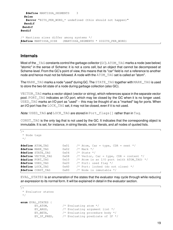```
#define MANTISSA_SEGMENTS 3
  #else
  #error "BITS_PER_WORD_* undefined (this should not happen)"
 #endif
#endif
#endif
/* Mantissa sizes differ among systems */
```
**#define** MANTISSA\_SIZE (MANTISSA\_SEGMENTS \* DIGITS\_PER\_WORD)

#### **Internals**

Most of the TAG constants control the garbage collector (GC). ATOM TAG marks a node (see below) "atomic" in the sense of Scheme: it is not a cons cell, but an object that cannot be decomposed at Scheme-level. From the GC's point of view, this means that its "car" field is not a reference to another node and hence must not be followed. A node with the ATOM TAG set is called an "atom".

The MARK\_TAG marks a node "used" during GC. The STATE\_TAG together with MARK\_TAG is used to store the two-bit state of a node during garbage collection (also GC).

VECTOR\_TAG marks a vector object (vector or string), which references space in the separate vector pool. PORT\_TAG indicates an I/O port, which may be closed by the GC when it is no longer used. USED TAG marks an I/O port as "used" -- this may be thought of as a "marked" tag for ports. When an I/O port has the LOCK TAG set, it may not be closed, even if it is not used.

Note: USED\_TAG and LOCK\_TAG are stored in Port\_flags [] rather than in Tag.

CONST\_TAG is the only tag that is not used by the GC. It indicates that the corresponding object is immutable. It is set, for instance, in string literals, vector literals, and all nodes of quoted lists.

```
\sqrt{2}* Node tags
 */
#define ATOM_TAG 0x01 /* Atom, Car = type, CDR = next */
#define MARK_TAG 0x02 /* Mark */
#define STATE_TAG 0x04 /* State */
#define VECTOR_TAG 0x08 /* Vector, Car = type, CDR = content */
#define PORT_TAG 0x10 /* Atom is an I/O port (with ATOM_TAG) */
#define USED_TAG 0x20 /* Port: used flag */
#define LOCK_TAG 0x40 /* Port: locked (do not close) */
#define CONST_TAG 0x80 /* Node is immutable */
```
EVAL\_STATES is an enumeration of the states that the evaluator may cycle through while reducing an expression to its normal form. It will be explained in detail in the evaluator section.

```
\sqrt{1}* Evaluator states
 */
enum EVAL_STATES {
       EV_ATOM, /* Evaluating atom */
       EV_ARGS, /* Evaluating argument list */
       EV_BETA, /* Evaluating procedure body */
       EV IF PRED, /* Evaluating predicate of IF */
```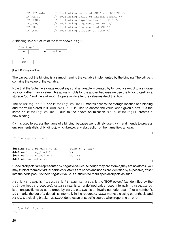```
EV SET VAL, /* Evaluating value of SET! and DEFINE */
EV MACRO, \frac{1}{2} Evaluating value of DEFINE-SYNTAX \frac{x}{2}EV_BEGIN, /* Evaluating expressions of BEGIN */
EV_AND, \frac{1}{2} /* Evaluating arguments of AND \frac{1}{2}EV_OR, \frac{1}{2} /* Evaluating arguments of OR \frac{x}{2}EV COND /* Evaluating clauses of COND */
```
};

A "binding" is a structure of the form shown in fig.1.



[Fig.1: Binding structure]

The car part of the binding is a symbol naming the variable implemented by the binding. The cdr part contains the value of the variable.

Note that the Scheme storage model says that a variable is created by binding a symbol to a *storage* location rather than a value. This actually holds for the above, because we use the binding itself as a storage "box" and the  $set-cdr!$  operation to alter the value inside of that box.

The binding\_box() and binding\_value() macros access the storage location of a binding and the value stored in it.  $box\_value()$  is used to access the value when given a box. It is the same as binding value() due to the above optimization. make binding() creates a new binding.

Car is used to access the name of a binding, because we routinely use caar and friends to process environments (lists of bindings), which breaks any abstraction of the name field anyway.

```
\sqrt{ }* Binding structure
 */
#define make_binding(v, a) (cons((v), (a)))
#define binding_box(x) (x)
#define binding_value(x) (cdr(x))
#define box_value(x) (cdr(x))
```
"Specialobjects" are represented by negative values.Although they are atomic,they are no atoms (you may think of them as "virtual particles"). Atoms are nodes and nodes are identified by a (positive) offset into the node pool. So their *negative* value is sufficient to mark special objects as such.

NIL is (), TRUE is  $\#t$ , FALSE is  $\#f$ , END OF FILE is the "EOF object" (as identified by the eof-object? procedure), UNDEFINED is an undefined value (used internally), UNSPECIFIC is an unspecific value as returned by set!, etc, NAN is an invalid numeric result ("not a number"), DOT marks the dot of a dotted list internally in the reader, RPAREN marks a closing parenthesis and RBRACK a closing bracket. NOEXPR denotes an unspecific source when reporting an error.

```
\sqrt{1}
```

```
* Special objects
*/
```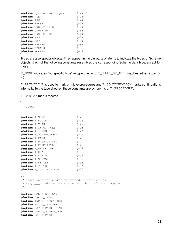|                | #define special_value_p(x) | ((x) < 0) |
|----------------|----------------------------|-----------|
| #define NIL    |                            | $(-1)$    |
| #define TRUE   |                            | $(-2)$    |
| #define FALSE  |                            | $(-3)$    |
|                | #define END OF FILE        | $(-4)$    |
|                | #define UNDEFINED          | $(-5)$    |
|                | #define UNSPECIFIC         | $(-6)$    |
| #define NAN    |                            | $(-7)$    |
| #define DOT    |                            | $(-8)$    |
| #define RPAREN |                            | $(-9)$    |
| #define RBRACK |                            | $(-10)$   |
| #define NOEXPR |                            | $(-11)$   |
|                |                            |           |

Types are also special objects. They appear in the car parts of atoms to indicate the types of Scheme objects. Each of the following constants resembles the corresponding Scheme data type, except for those:

T\_NONE indicates "no specific type" in type checking. T\_PAIR\_OR\_NIL matches either a pair or  $()$ .

T\_PRIMITIVE is used to mark primitive procedures and T\_CONTINUATION marks continuations internally. To the type checker, these constants are synonyms of T\_PROCEDURE.

T\_SYNTAX marks macros.

 $\sqrt{2}$ \* Types \*/ **#define** T\_NONE (-20) **#define** T\_BOOLEAN (-21) **#define** T\_CHAR (-22) **#define** T\_INPUT\_PORT (-23) **#define** T\_INTEGER (-24) **#define** T\_OUTPUT\_PORT (-25) **#define** T\_PAIR (-26) **#define** T\_PAIR\_OR\_NIL (-27) **#define** T\_PRIMITIVE (-28) **#define** T\_PROCEDURE (-29) **#define** T\_REAL (-30) **#define** T\_STRING (-31) **#define** T\_SYMBOL (-32) **#define** T\_SYNTAX (-33) **#define** T\_VECTOR (-34) **#define** T\_CONTINUATION (-35) /\* \* Short cuts for primitive procedure definitions \* Yes, \_\_\_ violates the C standard, but it's too tempting \*/ **#define** BOL T\_BOOLEAN **#define** CHR T\_CHAR **#define** INP T\_INPUT\_PORT **#define** INT T\_INTEGER **#define** LST T\_PAIR\_OR\_NIL **#define** OUP T\_OUTPUT\_PORT **#define** PAI T\_PAIR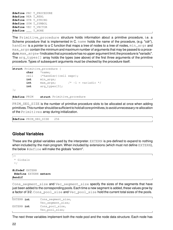**#define** PRC T\_PROCEDURE **#define** REA T\_REAL **#define** STR T\_STRING **#define** SYM T\_SYMBOL **#define** VEC T\_VECTOR  $\text{\#define}$  T\_NONE

The Primitive\_procedure structure holds information about a primitive procedure, i.e. a Scheme procedure that is implemented in C. name holds the name of the procedure, (e.g. "cdr"), handler is a pointer to a C function that maps a tree of nodes to a tree of nodes,  $min\_args$  and  $max$  args contain the minimum and maximum number of arguments that may be passed to a procedure.max\_args=-1indicatesthat a procedurehas no upper argument limit;the procedureis "variadic". The arg\_types[] array holds the types (see above) of the first three arguments of the primitive procedure. Types of subsequent arguments must be checked by the procedure itself.

```
struct Primitive procedure {
       char *name;
       cell (*handler)(cell expr);
       int min args;
       int max_args; /* -1 = \text{variable} */int arg_types[3];
};
#define PRIM struct Primitive_procedure
```
PRIM\_SEG\_SIZE is the number of primitive procedure slots to be allocated at once when adding primitives.Thisnumber shouldbesufficient toholdallcoreprimitives,toavoidunnecessary re-allocation of the Primitives array during initialization.

**#define** PRIM\_SEG\_SIZE 256

#### **Global Variables**

These are the global variables used by the interpreter. EXTERN is pre-defined to expand to nothing when included by the main program. When included by extensions (which must not define EXTERN), the below #define will make the globals "extern".

```
\sqrt{1*}* Globals
 */
#ifndef EXTERN
 #define EXTERN extern
#endif
```
Cons\_segment\_size and Vec\_segment\_size specify the sizes of the segments that have just been added to the corresponding pools. Each time a new segment is added, these values grow by a factor of 3/2. Cons\_pool\_size and Vec\_pool\_size hold the current total sizes of the pools.

```
EXTERN int Cons_segment_size,
              Vec_segment_size;
EXTERN int Cons_pool_size,
              Vec_pool_size;
```
The next three variables implement both the node pool and the node data structure. Each node has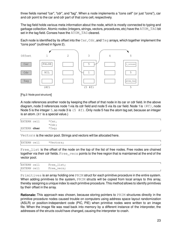three fields named "car", "cdr", and "tag". When a node implements a "cons cell" (or just "cons"), car and cdr point to the car and cdr part of that cons cell, respectively.

The tag field holds various meta information about the node, which is mostly connected to typing and garbage collection. Atomic nodes (integers, strings, vectors, procedures, etc) have the ATOM\_TAG bit set in the tag field. Conses have the ATOM\_TAG cleared.

Each node is identified by its offset into the  $Car$ ,  $Car$ , and  $Tag$  arrays, which together implement the "cons pool" (outlined in figure 2).



[Fig.2: Node pool structure]

A node references another node by keeping the offset of that node in its car or cdr field. In the above diagram, node 3 references node 1 via its cdr field and node 5 via its car field. Node 1 is  $(\#\text{f})$ , node Node 5 is the integer 5, so node 3 is  $(5 \#f)$ . Only node 5 has the atom tag set, because an integer is an atom. ( $\#F$  is a special value.)

| EXTERN cell | *Car,    |  |
|-------------|----------|--|
|             | $*Cdr$ ; |  |
| EXTERN char | *Taq;    |  |

Vectors is the vector pool. Strings and vectors will be allocated here.

EXTERN cell \*Vectors;

Free\_list is the offset of the node on the top of the list of free nodes. Free nodes are chained together via their cdr fields. Free\_vecs points to the free region that is maintained at the end of the vector pool.

| EXTERN cell | Free list; |  |
|-------------|------------|--|
| EXTERN cell | Free_vecs; |  |

Primitives is an array holding one PRIM struct for each primitive procedure in the entire system. When adding primitives to the system, PRIM structs will be copied from local arrays to this array. thereby assigning a unique index to each primitive procedure. This method allows to identify primitives by their offset in the array.

**Rationale:** This approach was chosen, because storing pointers to PRIM structures directly in the primitive procedure nodes caused trouble on computers using address space layout randomization (ASLR) or position-independent code (PIC, PIE) when primitive nodes were written to an image file. When the image file was read back into memory by a different instance of the interpreter, the addresses of the structs could have changed, causing the interpreter to crash.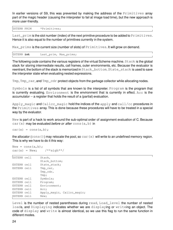In earlier versions of S9, this was prevented by making the address of the Primitives array part of the magic header (causing the interpreter to fail at image load time), but the new approach is more user-friendly.

EXTERN PRIM \*Primitives;

Last\_prim is the slot number (index) of the next primitive procedure to be added to Primitives. Hence it is also equal to the number of primitives currently in the system.

Max\_prims is the current size (number of slots) of Primitives. It will grow on demand.

EXTERN **int** Last\_prim, Max\_prims;

The following code contains the various registers of the virtual Scheme machine. Stack is the global stack for storing intermediate results, call frames, outer environments, etc. Because the evaluator is reentrant, the bottom of the stack is memorized in Stack bottom. State stack is used to save the interpreter state when evaluating nested expressions.

Tmp, Tmp\_car, and Tmp\_cdr protect objects from the garbage collector while allocating nodes.

Symbols is a list of all symbols that are known to the interpreter. Program is the program that is currently evaluating. Environment is the environment that is currently in effect. Acc is the accumulator -- a register that holds the result of a (partial) evaluation.

Apply magic and Callcc magic hold the indices of the apply and call/cc procedures in the Primitives array. This is done because these procedures will have to be treated in a special way by the evaluator.

New is part of a hack to work around the sub-optimal order of assignment evaluation of C. Because car(x) may be evaluated before or after cons(a, b) in

 $car(x) = cons(a, b)$ ;

the allocator (cons()) may relocate the pool, so car(x) will write to an undefined memory region. This is why we have to do it this way:

```
New = cons(a, b);
car(x) = New; /**sigh**/
```

| EXTERN cell | Stack,                     |
|-------------|----------------------------|
|             | Stack bottom;              |
| EXTERN cell | State stack;               |
| EXTERN cell | Tmp car,                   |
|             | Tmp cdr,                   |
|             | Tmp;                       |
| EXTERN cell | Symbols;                   |
| EXTERN cell | Program;                   |
| EXTERN cell | Environment;               |
| EXTERN cell | Acc:                       |
| EXTERN cell | Apply magic, Callcc magic; |
| EXTERN cell | New;                       |

Level is the number of nested parentheses during read, Load\_level the number of nested loads, and Displaying indicates whether we are displaying or writeing an object. The code of display and write is almost identical, so we use this flag to run the same function in different modes.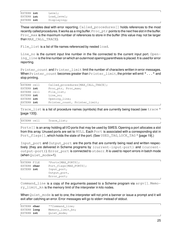| EXTERN int | Level;      |
|------------|-------------|
| EXTERN int | Load level; |
| EXTERN int | Displaying; |

These variables deal with error reporting. Called procedures [] holds references to the most recently called procedures. It works as a ring buffer. Proce  $ptr$  points to the next free slot in the buffer. Proc max is the maximum number of references to store in the buffer (this value may not be larger than MAX\_CALL\_TRACE).

File list is a list of file names referenced by nested load.

Line  $\overline{no}$  is the current input line number in the file connected to the current input port. Open $ing$  ing ine is the line number on which an outermost opening parenthesis is placed. It is used for error reporting.

Printer count and Printer limit limit the number of characters written in error messages. When Printer\_count becomes greater than Printer\_limit, the printer will emit "..." and stop printing.

| EXTERN cell | Called procedures [MAX CALL TRACE]; |
|-------------|-------------------------------------|
| EXTERN int  | Proc ptr, Proc max;                 |
| EXTERN cell | File list;                          |
| EXTERN int  | Line no;                            |
| EXTERN int  | Opening_line;                       |
| EXTERN int  | Printer_count, Printer_limit;       |

Trace list is a list of procedure names (symbols) that are currently being traced (see trace  $\wedge$ [page 133]).

EXTERN cell Trace\_list;

Ports[] is an array holding all I/O ports that may be used by S9fES. Opening a port allocates a slot from this array. Unused ports are set to NULL. Each Port is associated with a corresponding slot in Port\_flags [], which holds the state of the port. (See USED\_TAG, LOCK\_TAG  $\land$  [page 19].)

Input\_port and Output\_port are the ports that are currently being read and written respectively (they are delivered in Scheme programs by (current-input-port) and (currentoutput-port)). Error\_port is connected to stderr. It is used to report errors in batch mode (when Quiet\_mode=1).

| <b>EXTERN FILE</b> | *Ports[MAX PORTS];      |
|--------------------|-------------------------|
| EXTERN char        | Port flags [MAX PORTS]; |
| EXTERN int         | Input port,             |
|                    | Output_port,            |
|                    | Error port;             |

Command\_line is a copy of the arguments passed to a Scheme program via  $\arg[\ ]$ . Memory\_limit\_kn is the memory limit of the interpreter in kilo nodes.

When  $Quiet_model$  is set to one, the interpreter will not print a banner or issue a prompt and it will exit after catching an error. Error messages will go to stderr instead of stdout.

| EXTERN <b>char</b> | **Command line;  |  |
|--------------------|------------------|--|
| EXTERN long        | Memory limit kn; |  |
| EXTERN int         | Ouiet mode;      |  |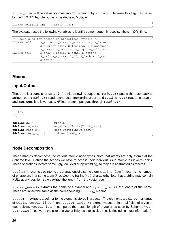$Error_f$ lag will be set as soon as an error is caught by  $error()$ . Because this flag may be set by the SIGINT handler, it has to be declared "volatile".

EXTERN **volatile int** Error\_flag;

The evaluator uses the following variables to identify some frequently-used symbols in  $O(1)$  time.

```
/* Short cuts for accessing predefined symbols */
EXTERN cell S_arrow, S_else, S_extensions, S_latest,
               S_library_path, S_loading, S_quasiquote,
               S quote, S unquote, S unquote splicing;
EXTERN cell S and, S begin, S cond, S define,
               S_define_syntax, S_if, S_lambda, S_or,
               S_set_b;
```
#### **Macros**

#### **Input/Output**

These are just some shortcuts.nl() emits a newline sequence,  $\text{re}\text{jet}$  () puts a character back to an input port,  $\text{read}_c()$  reads a character from an input port, and  $\text{read}_c_i()$  reads a character and transforms it to lower case. All interpreter input goes through  $\text{read }c()$ .

 $\sqrt{1 + \frac{1}{2}}$ \* I/O \*/

```
#define nl() pr("\n")
#define reject(c) ungetc(c, Ports[Input_port])
#define read_c() getc(Ports[Input_port])
#define read_c_ci() tolower(read_c())
```
#### **Node Decomposition**

These macros decompose the various atomic node types. Note that atoms are only atomic at the Scheme level. Behind the scenes we have to access their individual (sub-atomic, as it were) parts. These operations involve some ugly, low-level array wrestling, so they are abstracted as macros.

string() returns a pointer to the characters of a string atom. string\_len() returns the number of characters in a string atom (including the trailing NUL character!). Note that a string may contain NULs at any position, so we extract the length from the vector pool.

symbol\_name() extracts the name of a symbol and symbol\_len() the length of the name. These are in fact the same as the corresponding string macros.

 $vector()$  extracts a pointer to the elements stored in a vector. The elements are stored in an array of cells. vector\_link() and vector\_index() extract values of internal fields of a vector (see below).  $vector \text{len}()$  computes the actual length of a vector as seen by Scheme.  $vec$ tor\_size() converts the size of a vector in bytes into its size in cells (including meta information).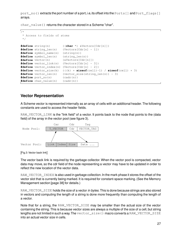port\_no() extracts the port number of a port, i.e, its offset into the Ports[] and Port\_flags[] arrays.

char value() returns the character stored in a Scheme "char".

```
\sqrt{2}* Access to fields of atoms
 */
#define string(n) ((char *) &Vectors[Cdr[n]])
#define string_len(n) (Vectors[Cdr[n] - 1])
#define symbol_name(n) (string(n))
#define symbol_len(n) (string_len(n))
#define vector(n) (&Vectors[Cdr[n]])
#define vector_link(n) (Vectors[Cdr[n] - 3])
#define vector_index(n) (Vectors[Cdr[n] - 2])
#define vector_size(k) (((k) + sizeof(cell)-1) / sizeof(cell) + 3)
#define vector_len(n) (vector_size(string_len(n)) - 3)
#define port_no(n) (cadr(n))
#define char_value(n) (cadr(n))
```
#### **Vector Representation**

A Scheme vector is represented internally as an array of cells with an additional header. The following constants are used to access the header fields.

RAW\_VECTOR\_LINK is the "link field" of a vector. It points back to the node that points to the (data field) of the array in the vector pool (see figure 3).



<sup>[</sup>Fig.3: Vector back link]

The vector back link is required by the garbage collector. When the vector pool is compacted, vector data may move, so the cdr field of the node representing a vector may have to be updated in order to reflect the new location of the vector data.

RAW\_VECTOR\_INDEX is also used in garbage collection. In the mark phase it stores the offset of the vector slot that is currently being marked. It is required for constant-space marking. (See the Memory Management section [page 38] for details.)

RAW\_VECTOR\_SIZE holds the size of a vector in bytes. This is done because strings are also stored in vectors and computing the length of a string is done more frequently than computing the length of a vector.

Note that for a string, the RAW\_VECTOR\_SIZE may be smaller than the actual size of the vector containing the string. This is because vector sizes are always a multiple of the size of a cell, but string lengths are not limited in such a way. The vector\_size() macro converts a RAW\_VECTOR\_SIZE into an actual vector size in cells.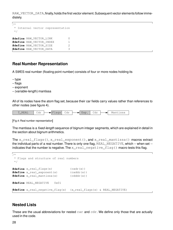RAW\_VECTOR\_DATA, finally, holds the first vector element. Subsequent vector elements follow immediately.

```
\sqrt{1 + \frac{1}{2}}* Internal vector representation
 */
#define RAW_VECTOR_LINK 0
#define RAW_VECTOR_INDEX 1
#define RAW_VECTOR_SIZE 2
#define RAW_VECTOR_DATA 3
```
#### **Real Number Representation**

A S9fES real number (floating point number) consists of four or more nodes holding its

- -- type
- -- flags
- exponent
- -- (variable-length) mantissa

All of its nodes have the atom flag set, because their car fields carry values rather than references to other nodes (see figure 4).

| . .<br>$H H, \nabla$ | ~~<br>◡◡∸ |  |  | محلط<br>◡◡∸ |  | $\mathbf{v}$<br>∸∆∪ | <b>AL</b> 30<br>◡◡ |  | ---<br>Mã<br>ں ب<br>. |
|----------------------|-----------|--|--|-------------|--|---------------------|--------------------|--|-----------------------|
|----------------------|-----------|--|--|-------------|--|---------------------|--------------------|--|-----------------------|

[Fig.4: Real number representation]

The mantissa is a *fixed-length* sequence of bignum integer segments, which are explained in detail in the section about bignum arithmetics.

The x\_real\_flags(), x\_real\_exponent(), and x\_real\_mantissa() macros extract the individual parts of a real number. There is only one flag, REAL NEGATIVE, which -- when set -indicates that the number is negative. The  $x$  real negative flag() macro tests this flag.

```
\sqrt{2}* Flags and structure of real numbers
 */
#define x_real_flags(x) (cadr(x))
\#define x real exponent(x) (caddr(x))
#define x_real_mantissa(x) (cdddr(x))
#define REAL_NEGATIVE 0x01
#define x_real_negative_flag(x) (x_real_flags(x) & REAL_NEGATIVE)
```
#### **Nested Lists**

These are the usual abbreviations for nested  $car$  and  $cdr$ . We define only those that are actually used in the code.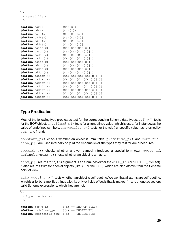```
\sqrt{2}* Nested lists
 */
#define car(x) (Car[x])
#define cdr(x) (Cdr[x])
#define caar(x) (Car[Car[x]])
#define cadr(x) (Car[Cdr[x]])
#define cdar(x) (Cdr[Car[x]])
#define cddr(x) (Cdr[Cdr[x]])
#define caaar(x) (Car[Car[Car[x]]])
#define caadr(x) (Car[Car[Cdr[x]]])
#define cadar(x) (Car[Cdr[Car[x]]])
#define caddr(x) (Car[Cdr[Cdr[x]]])
#define cdaar(x) (Cdr[Car[Car[x]]])
#define cdadr(x) (Cdr[Car[Cdr[x]]])
#define cddar(x) (Cdr[Cdr[Car[x]]])
#define cdddr(x) (Cdr[Cdr[Cdr[x]]])
#define caaddr(x) (Car[Car[Cdr[Cdr[x]]]])
#define caddar(x) (Car[Cdr[Cdr[Car[x]]]])
#define cadadr(x) (Car[Cdr[Car[Cdr[x]]]])
#define cadddr(x) (Car[Cdr[Cdr[Cdr[x]]]])
#define cddadr(x) (Cdr[Cdr[Car[Cdr[x]]]])
#define cdddar(x) (Cdr[Cdr[Cdr[Car[x]]]])
#define cddddr(x) (Cdr[Cdr[Cdr[Cdr[x]]]])
```
#### **Type Predicates**

Most of the following type predicates test for the corresponding Scheme data types.  $\epsilon$ of  $_p$ () tests for the EOF object, undefined  $p()$  tests for an undefined value, which is used, for instance, as the value of undefined symbols. unspecific  $p()$  tests for the (sic!) unspecific value (as returned by set! and friends).

constant  $p()$  checks whether an object is immutable.  $primitive_p()$  and continua $t$  ion\_p() are used internally only. At the Scheme level, the types they test for are procedures.

 $special\_p()$  checks whether a given symbol introduces a special form (e.g.: quote, if, define). syntax $p()$  tests whether an object is a macro.

atom\_p() returns truth, if its argument is an atom (has either the ATOM\_TAG or VECTOR\_TAG set). It also returns truth for special objects (like  $\#t$  or the EOF), which are also atomic from the Scheme point of view.

auto\_quoting\_p() tests whether an object is self-quoting. We say that all atoms are self-quoting, which is a lie, but simplifies things a lot. Its only evil side effect is that is makes () and unquoted vectors valid Scheme expressions, which they are not.

```
\frac{1}{x}* Type predicates
 */
\texttt{\#define} eof p(n) ((n) == END OF FILE)
#define undefined_p(n) ((n) == UNDEFINED)
#define unspecific_p(n) ((n) == UNSPECIFIC)
```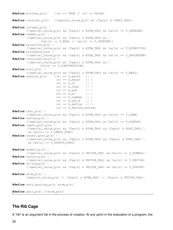```
#define boolean p(n) ((n) == TRUE || (n) == FALSE)
#define constant_p(n) (!special_value_p(n) && (Tag[n] & CONST_TAG))
#define integer p(n) \
        (!special value p(n) && (Tag[n] & ATOM TAG) && Car[n] == T_INTEGER)
#define number p(n) \setminus(!special_value_p(n) && (Tag[n] & ATOM_TAG) && \
                (Car[n] == T" REAL || Car[n] == T'INTER))
#define primitive_p(n) \
        (!special value p(n) && (Tag[n] & ATOM TAG) && Car[n] == T_PRIMITIVE)
#define procedure p(n) \
        (!special value p(n) && (Tag[n] & ATOM_TAG) && Car[n] == T_PROCEDURE)
#define continuation p(n) \
        (!special_value_p(n) && (Tag[n] & ATOM_TAG) && \
                Car[n] == T_CONTINUATION)#define real_p(n) \
        (!special_value_p(n) && (Tag[n] & ATOM_TAG) && Car[n] == T_REAL)
\texttt{\#define} \text{ special}_p(n) ((n) == S_quote || \
                         (n) == S_begin || \
                         (n) = S_{if} || \
                         (n) == S\_cond || \
                         (n) == S_and || \
                         (n) == S_{OT} || \
                         (n) == S lambda || \
                         (n) == S_set_b || \
                         (n) == S define || \ \rangle(n) == S_define_syntax)
#define char_p(n) \
        (!special_value_p(n) && (Tag[n] & ATOM_TAG) && Car[n] == T_CHAR)
#define syntax_p(n) \
        (!special value p(n) && (Tag[n] & ATOM TAG) && Car[n] == T_SYNTAX)
#define input_port_p(n) \
        (!special_value_p(n) && (Tag[n] & ATOM_TAG) && (Tag[n] & PORT_TAG) \
        &c Car[n] == T_INPUT_PORT)
#define output_port_p(n) \
        (!special_value_p(n) && (Tag[n] & ATOM_TAG) && (Tag[n] & PORT_TAG) \
         &&Car[n] == T_OUTPUT_PORT)#define symbol_p(n) \
        (!special_value_p(n) && (Tag[n] & VECTOR_TAG) && Car[n] == T_SYMBOL)
#define vector_p(n) \
        (!special_value_p(n) && (Tag[n] & VECTOR_TAG) && Car[n] == T_VECTOR)
#define string_p(n) \
        (!special_value_p(n) && (Tag[n] & VECTOR_TAG) && Car[n] == T_STRING)
#define atom p(n) \
        (special_value_p(n) || (Tag[n] & ATOM_TAG) || (Tag[n] & VECTOR_TAG))
#define auto quoting p(n) atom p(n)
#define pair_p(x) (!atom_p(x))
```
#### **The Rib Cage**

A "rib" is an argument list in the process of creation. At any point in the evaluation of a program, the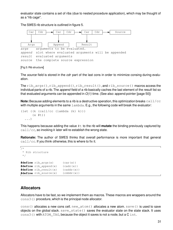evaluator state contains a set of ribs (due to nested procedure application), which may be thought of as a "rib cage".

The S9fES rib structure is outlined in figure 5.



#### [Fig.5: Rib structure]

The *source* field is stored in the *cdr* part of the last cons in order to minimize consing during evaluation.

The rib  $args()$ , rib append(), rib result(), and rib source() macros access the individual parts of a rib. The *append* field of a rib basically caches the last element of the result list so that evaluated arguments can be appended in  $O(1)$  time. (See also: append pointer [page 50])

**Note:** Because adding elements to a rib is a destructive operation, this optimization breaks call/cc with multiple arguments in the same  $l$  ambda. E.g., the following code will break the evaluator:

```
(let ((k (call/cc (lambda (k) k)))
      (x #t))
  ...)
```
This happens because adding the value #t to the rib will **mutate** the binding previously captured by  $\text{call}/\text{cc}$ , so invoking k later will re-establish the wrong state.

**Rationale:** The author of S9fES thinks that overall performance is more important that general  $\text{call}/\text{cc}$ . If you think otherwise, this is where to fix it.

```
\sqrt{2}* Rib structure
 */
#define rib_args(x) (car(x))
#define rib_append(x) (cadr(x))
#define rib_result(x) (caddr(x))
#define rib_source(x) (cdddr(x))
```
#### **Allocators**

Allocators have to be fast, so we implement them as macros. These macros are wrappers around the cons3() procedure, which is the principal node allocator.

cons() allocates a new cons cell. new\_atom() allocates a new atom. save() is used to save objects on the global stack.  $save\_state()$  saves the evaluator state on the state stack. It uses cons3() with ATOM\_TAG, because the object it saves is not a node, but a C int.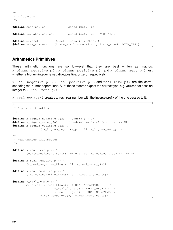```
\sqrt{1}* Allocators
 */
#define cons(pa, pd) cons3((pa), (pd), 0)
#define new_atom(pa, pd) cons3((pa), (pd), ATOM_TAG)
#define save(n) (Stack = cons((n), Stack))
#define save_state(v) (State_stack = cons3((v), State_stack, ATOM_TAG))
```
#### **Arithmetics Primitives**

These arithmetic functions are so low-level that they are best written as macros. x\_bignum\_negative\_p(), x\_bignum\_positive\_p() and x\_bignum\_zero\_p() test whether a bignum integer is negative, positive, or zero, respectively.

 $x$  real negative  $p()$ ,  $x$  real positive  $p()$ , and real zero  $p()$  are the corresponding real number operations. All of these macros expect the correct type, e.g. you cannot pass an integer to x  $real$  zero  $p()$ .

x\_real\_negate() creates a fresh real number with the inverse prefix of the one passed to it.

```
\sqrt{2}* Bignum arithmetics
 */
#define x bignum negative p(a) ((cadr(a)) < 0)
#define x_bignum_zero_p(a) ((cadr(a) == 0) && (cddr(a)) == NIL)
#define x_bignum_positive_p(a) \
                (!x_bignum_negative_p(a) && !x_bignum_zero_p(a))
/*
 * Real-number arithmetics
 */
#define x real zero p(x) \setminus(car(x_{real\_mantissa(x)) == 0 & & cdr(x_{real\_mantissa(x)) == NIL})#define x_real_negative_p(x) \
        (x_real_negative_flag(x) && !x_real_zero_p(x))
#define x_real_positive_p(x) \
        (!x_real_negative_flag(x) && !x_real_zero_p(x))
#define x real negate(a) \
        make_real(x_real_flags(a) & REAL_NEGATIVE? \
                         x_real_flags(a) & ~REAL_NEGATIVE: \
                         x_real_flags(a) | REAL_NEGATIVE, \
                x_real_exponent(a), x_real_mantissa(a))
```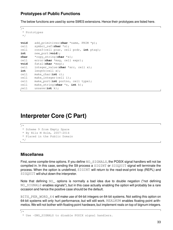#### **Prototypes of Public Functions**

The below functions are used by some S9fES extensions. Hence their prototypes are listed here.

```
\sqrt{1 + \frac{1}{2}}* Prototypes
 */
void add_primitives(char *name, PRIM *p);
cell symbol_ref(char *s);
cell cons3(cell pcar, cell pcdr, int ptag);
int new_port(void);
char *copy_string(char *s);
cell error(char *msg, cell expr);
void fatal(char *msg);
cell integer_value(char *src, cell x);
int length(cell x);
cell make_char(int c);
cell make_integer(cell i);
cell make_port(int portno, cell type);
cell make_string(char *s, int k);
cell unsave(int k);
```
# **Interpreter Core (C Part)**

```
\sqrt{1 + \frac{1}{2}}* Scheme 9 from Empty Space
 * By Nils M Holm, 2007-2014
 * Placed in the Public Domain
 */
```
#### **Miscellanea**

First, some compile-time options. If you define NO SIGNALS, the POSIX signal handlers will not be compiled in. In this case, sending the S9 process a SIGINT or SIGQUIT signal will terminate the process. When the option is undefined, SIGINT will return to the read-eval-print loop (REPL) and SIGQUIT will shut down the interpreter.

Note that defining NO<sub></sub> options is normally a bad idea due to double negation ("not defining NO\_SIGNALS enables signals"), but in this case actually enabling the option will probably be a rare occasion and hence the positive case should be the default.

BITS\_PER\_WORD\_64 will make use of 64-bit integers on 64-bit systems. Not setting this option on 64-bit systems will only hurt performance, but will still work. REALNUM enables floating point arithmetics. We will not bother with floating point hardware, but implement reals on top of bignum integers.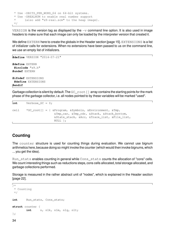```
* Use -DBITS PER WORD 64 on 64-bit systems.
* Use -DREALNUM to enable real number support
      (also add "s9-real.scm" to the heap image).
*/
```
VERSION is the version tag as displayed by the  $-v$  command line option. It is also used in image headers to make sure that each image can only be loaded by the interpreter version that created it.

We define EXTERN here to create the globals in the Header section [page 15]. EXTENSIONS is a list of initializer calls for extensions. When no extensions have been passed to us on the command line, we use an empty list of initializers.

```
#define VERSION "2014-07-21"
#define EXTERN
 #include "s9.h"
#undef EXTERN
#ifndef EXTENSIONS
 #define EXTENSIONS
#endif
```
Garbage collection is silent by default. The GC\_root [] array contains the starting points for the mark phase of the garbage collector, i.e. all nodes pointed to by these variables will be marked "used".

```
\intint Verbose GC = 0;
cell *GC_root[] = { &Program, &Symbols, &Environment, &Tmp,
                        &Tmp_car, &Tmp_cdr, &Stack, &Stack_bottom,
                        &State_stack, &Acc, &Trace_list, &File_list,
                        NULL };
```
#### **Counting**

The counter structure is used for counting things during evaluation. We cannot use bignum arithmetics here, because doing so might invoke the counter (which would then invoke bignums, which ... you get the idea).

Run\_stats enables counting in general while Cons\_stats counts the allocation of "cons" cells. We count interesting things such as reductions steps, cons cells allocated, total storage allocated, and garbage collections performed.

Storage is measured in the rather abstract unit of "nodes", which is explained in the Header section [page 22].

```
\Gamma_{/~\star}* Counting
 */
int Run_stats, Cons_stats;
struct counter {
         int n, n1k, n1m, n1q, n1t;
};
```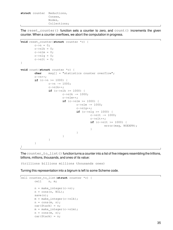**struct** counter Reductions, Conses, Nodes, Collections;

The reset\_counter() function sets a counter to zero, and count() increments the given counter. When a counter overflows, we abort the computation in progress.

```
void reset_counter(struct counter *c) {
          c \rightarrow n = 0;c \rightarrow n1k = 0;c \rightarrow n1m = 0;c \rightarrow n1q = 0;c \rightarrow n1t = 0;}
void count(struct counter *c) {
          char msg[] = "statistics counter overflow";
          c->n++;if (c->n) = 1000 {
                    c \rightarrow n - 1000;
                    c->n1k++;if (c->n1k >= 1000) {
                              c->n1k -= 1000;c\rightarrow\text{nlm++};
                               if (c->n1m>=1000) {
                                         c \rightarrow n1m - 1000;
                                         c\rightarrown1q++;if (c->n1q >= 1000) {
                                                   c \rightarrow n1t - 1000;
                                                   c->n1t++;if (c->n1t >= 1000) {
                                                             error(msg, NOEXPR);
                                                   }
                                         }
                               }
                    }
          }
}
```
The counter\_to\_list() function turns a counter into a list of five integers resembling the trillions, billions, millions, thousands, and ones of its value:

(trillions billions millions thousands ones)

Turning this representation into a bignum is left to some Scheme code.

```
cell counter_to_list(struct counter *c) {
        cell n, m;
        n = make_interest(c->n);n = cons(n, NIL);
        save(n);
        m = make_interest(c->nlk);n = \text{cons}(m, n);car(Strack) = n;m = make_interest(c->n1m);n = \text{cons}(m, n);car(Strack) = n;
```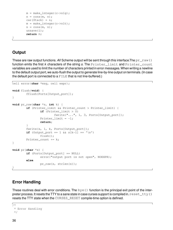```
m = make_interest(c->n1q);n = \text{cons}(m, n);car(Strack) = n;m = make_interest(c->n1t);n = \text{cons}(m, n);unsave(1);
return n;
```
#### **Output**

}

These are raw output functions. All Scheme output will be sent through this interface. The  $pr\_raw()$ function emits the first  $k$  characters of the string  $s$ . The  $Printer$  limiter and  $Printer$  count variables are used to limit the number of characters printed in error messages. When writing a newline to the default output port, we auto-flush the output to generate line-by-line output on terminals.(In case the default port is connected to a FILE that is not line-buffered.)

```
cell error(char *msg, cell expr);
void flush(void) {
        fflush(Ports[Output_port]);
}
void pr_raw(char *s, int k) {
        if (Printer limit && Printer count > Printer limit) {
                if (Printer_limit > 0)
                        fwrite("...", 1, 3, Ports[Output_port]);
                Printer limit = -1;
                return;
        }
        fwrite(s, 1, k, Ports[Output_port]);
        if (Output_port == 1 && s[k-1] == '\n')
                flush();
        Printer count += k;}
void pr(char *s) {
        if (Ports[Output_port] == NULL)
                error("output port is not open", NOEXPR);
        else
                pr_raw(s, strlen(s));
}
```
### **Error Handling**

These routines deal with error conditions. The  $bye()$  function is the principal exit point of the interpreter process. It resets the TTY to a sane state in case curses support is compiled in.  $\text{reset\_tty}( )$ resets the TTY state when the CURSES\_RESET compile-time option is defined.

```
\sqrt{1}* Error Handling
 */
```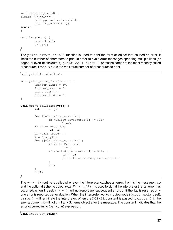```
void reset_tty(void) {
#ifdef CURSES_RESET
        cell pp_curs_endwin(cell);
        pp_curs_endwin(NIL);
#endif
}
void bye(int n) {
        reset_tty();
        exit(n);
}
```
The print\_error\_form() function is used to print the form or object that caused an error. It limits the number of characters to print in order to avoid error messages spanning multiple lines (or pages, or even infinite output).  $print\_call\_trace()$  prints the names of the most recently called procedures. Proc\_max is the maximum number of procedures to print.

```
void print_form(cell n);
void print_error_form(cell n) {
        Printer_limit = 50;
        Printer_count = 0;
        print_form(n);
        Printer limit = 0;
}
void print_calltrace(void) {
        int i, j;
        for (i=0; i <Proc_max; i++)
                if (Called_procedures[i] != NIL)
                        break;
        if (i == Proc max)
                return;
        pr("call trace:");
        i = Proc_ptr;
        for (j=0; j < Proc_max; j++) {
                if (i) = Proc_max)i = 0;if (Called_procedures[i] != NIL) {
                         pr(" " );print_form(Called_procedures[i]);
                }
                i++;}
        nl();
}
```
The  $error()$  routine is called whenever the interpreter catches an error. It prints the message msg and the optional Scheme object  $expr$ . Exponential is used to signal the interpreter that an error has occurred. When it is set, error() will not report any subsequent errors until the flag is reset, so only one error is reported per evaluation. When the interpreter works in quiet mode ( $Quiet_mode$  is set), error() will terminate the interpreter. When the NOEXPR constant is passed to  $error()$  in the expr argument, it will not print any Scheme object after the message. The constant indicates that the error occurred in no (particular) expression.

**void** reset\_tty(**void**);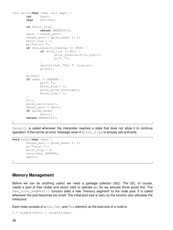```
cell error(char *msg, cell expr) {
        int oport;
        char buf[100];
        if (Error_flag)
                return UNSPECIFIC;
        oport = Output_port;
        Output_port = Quiet_mode? 2: 1;
        Error_flaq = 1;
        pr("error: ");
        if (box_value(S_loading) == TRUE) {
                if (File_list != NIL) {
                        print_form(car(File_list));
                        pr(": ");
                }
                sprintf(buf, "%d: ", Line_no);
                pr(buf);
        }
        pr(msg);
        if (expr != NOEXPR) {
                pr(": ");
                Error\_flag = 0;print_error_form(expr);
                Error flag = 1;
        }
        nl();
        print_calltrace();
        Output_port = oport;
        if (Quiet_mode)
                bye(1);
        return UNSPECIFIC;
```
}

 $fatal()$  is called whenever the interpreter reaches a state that does not allow it to continue operation. It then prints an error message (even if Error\_flag is already set) and exits.

```
void fatal(char *msg) {
        Output_port = Quiet_mode? 2: 1;
        pr("fatal ");
        Error_flag = 0;
        error(msg, NOEXPR);
        bye(2);
}
```
#### **Memory Management**

Before we can do anything useful, we need a garbage collector (GC). The GC, of course, needs a pool of free nodes and vector cells to operate on. So we allocate those pools first. The new\_cons\_segment() function adds a new "memory segment" to the node pool. It is called whenever the pool becomes too small. The initial pool size is zero, so the function also allocates the initial pool.

Each node consists of a  $Car$ ,  $Cdr$ , and  $Taq$  element, so the total size of a node is

```
2 * sizeof(cell) + sizeof(char)
```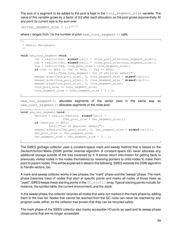The size of a segment to be added to the pool is kept in the Cons segment size variable. The value of this variable grows by a factor of 3/2 after each allocation, so the pool grows exponentially. At any point its current size is the sum over

INITIAL SEGMENT SIZE \*  $1.5^{(i-1)}$ 

where *i* ranges from 1 to the number of prior new\_cons\_segment() calls.

```
\sqrt{2}* Memory Management
 */
void new_cons_segment(void) {
        Car = realloc(Car, sizeof(cell) * (Cons_pool_size+Cons_segment_size));
        Cdr = realloc(Cdr, sizeof(cell) * (Cons_pool_size+Cons_segment_size));
        Tag = realloc(Tag, Cons_pool_size + Cons_segment_size);
        if (Car == NULL || Cdr == NULL || Tag == NULL)
                fatal("new_cons_segment: out of physical memory");
        memset(&car(Cons_pool_size), 0, Cons_segment_size * sizeof(cell));
        memset(&cdr(Cons_pool_size), 0, Cons_segment_size * sizeof(cell));
        memset(&Tag[Cons_pool_size], 0, Cons_segment_size);
        Cons pool size += Cons segment size;
        Cons_segment_size = Cons\_segment\_size * 3 / 2;
```
}

new\_vec\_segment() allocates segments of the vector pool in the same way as new\_cons\_segment() allocates segments of the node pool.

```
void new_vec_segment(void) {
       Vectors = realloc(Vectors, sizeof(cell) *
                       (Vec_pool_size + Vec_segment_size));
       if (Vectors == NULL)
               fatal("out of physical memory");
       memset(&Vectors[Vec_pool_size], 0, Vec_segment_size * sizeof(cell));
       Vec_pool_size += Vec_segment_size;
       Vec_segment_size = Vec_segment_size * 3 / 2;
}
```
The S9fES garbage collector uses a constant-space mark-and-sweep method that is based on the Deutsch/Schorr/Waite (DSW) pointer reversal algorithm. A constant-space GC never allocates any additional storage outside of the tree traversed by it. It stores return information for getting back to previously visited nodes in the nodes themselves by reversing pointers to child nodes to make them point to parent nodes.This will be explained in detail in the following.S9fES extends the DSW algorithm to handle vectors, too.

A mark-and-sweep collector works in two phases, the "mark" phase and the "sweep" phase. The mark phase traverses trees of nodes that start at specific points and marks all nodes of those trees as "used". S9fES keeps these starting points in the GC\_root [] array. Typical starting points include, for instance, the symbol table, the current environment, and the stack.

In the sweep phase, the collector recycles all nodes that were *not* marked in the mark phase by adding them to the free list. Nodes that cannot be reached from the GC roots can never be reached by any program code, either, so the collector has proven that they can be recycled safely.

The mark phase of the S9fES collector also marks accessible I/O ports as used and its sweep phase closes ports that are no longer accessible.